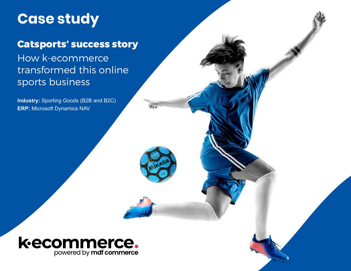# **Case study**

### Catsports' success story

## How k-ecommerce transformed this online sports business

**Industry:** Sporting Goods (B2B and B2C) **ERP:** Microsoft Dynamics NAV



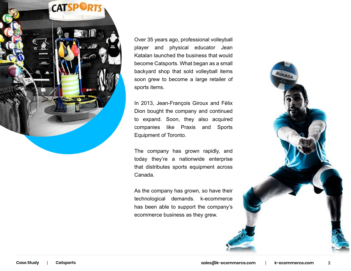

Over 35 years ago, professional volleyball player and physical educator Jean Katalan launched the business that would become Catsports. What began as a small backyard shop that sold volleyball items soon grew to become a large retailer of sports items.

In 2013, Jean-François Giroux and Félix Dion bought the company and continued to expand. Soon, they also acquired companies like Praxis and Sports Equipment of Toronto.

The company has grown rapidly, and today they're a nationwide enterprise that distributes sports equipment across Canada.

As the company has grown, so have their technological demands. k-ecommerce has been able to support the company's ecommerce business as they grew.

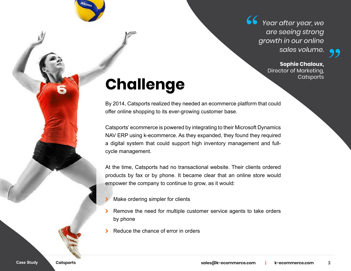*Year after year, we are seeing strong growth in our online sales volume.*

### **Sophie Chaloux,** Director of Marketing,

# **Challenge**

By 2014, Catsports realized they needed an ecommerce platform that could offer online shopping to its ever-growing customer base.

Catsports' ecommerce is powered by integrating to their Microsoft Dynamics NAV ERP using k-ecommerce. As they expanded, they found they required a digital system that could support high inventory management and fullcycle management.

At the time, Catsports had no transactional website. Their clients ordered products by fax or by phone. It became clear that an online store would empower the company to continue to grow, as it would:

- Make ordering simpler for clients
- > Remove the need for multiple customer service agents to take orders by phone
- Reduce the chance of error in orders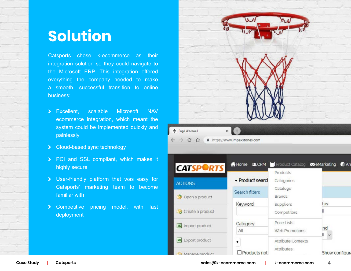## **Solution**

Catsports chose k-ecommerce as their integration solution so they could navigate to the Microsoft ERP. This integration offered everything the company needed to make a smooth, successful transition to online business:

- > Excellent, scalable Microsoft NAV ecommerce integration, which meant the system could be implemented quickly and painlessly
- > Cloud-based sync technology
- > PCI and SSL compliant, which makes it highly secure
- \ User-friendly platform that was easy for Catsports' marketing team to become familiar with
- > Competitive pricing model, with fast deployment



| <b>CATSPORTS</b>      | Home JLCRM Product Catalog MeMarketing |                               | $\bigcap$ An         |
|-----------------------|----------------------------------------|-------------------------------|----------------------|
| <b>ACTIONS</b>        | · Product search                       | <b>Products</b><br>Categories |                      |
| Open a product        | Search filters                         | Catalogs<br><b>Brands</b>     |                      |
| Create a product      | Keyword                                | Suppliers<br>Competitors      | tus                  |
| Import product        | Category<br>All                        | Price Lists<br>Web Promotions | nd                   |
| <b>Export product</b> |                                        | Attribute Contexts            | $\ddot{\phantom{1}}$ |
| Manage product        | $\square$ Products not                 | Attributes                    | Show configura       |

**|**

**[sales@k-ecommerce.com](mailto:sales%40k-ecommerce.com?subject=) k-ecommerce.com**

**4**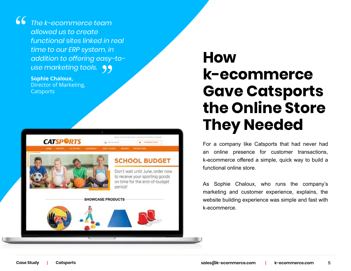*The k-ecommerce team allowed us to create functional sites linked in real time to our ERP system, in addition to offering easy-to*under can Euro geen <sub>in</sub><br>addition to offering easy-<br>use marketing tools.

#### **Sophie Chaloux,** Director of Marketing, **Catsports**

"



# **How k-ecommerce Gave Catsports the Online Store They Needed**

For a company like Catsports that had never had an online presence for customer transactions, k-ecommerce offered a simple, quick way to build a functional online store.

As Sophie Chaloux, who runs the company's marketing and customer experience, explains, the website building experience was simple and fast with k-ecommerce.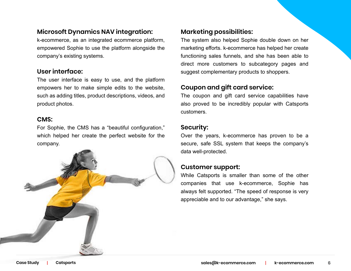#### **Microsoft Dynamics NAV integration:**

k-ecommerce, as an integrated ecommerce platform, empowered Sophie to use the platform alongside the company's existing systems.

#### **User interface:**

The user interface is easy to use, and the platform empowers her to make simple edits to the website, such as adding titles, product descriptions, videos, and product photos.

#### **CMS:**

For Sophie, the CMS has a "beautiful configuration," which helped her create the perfect website for the company.



#### **Marketing possibilities:**

The system also helped Sophie double down on her marketing efforts. k-ecommerce has helped her create functioning sales funnels, and she has been able to direct more customers to subcategory pages and suggest complementary products to shoppers.

#### **Coupon and gift card service:**

The coupon and gift card service capabilities have also proved to be incredibly popular with Catsports customers.

#### **Security:**

Over the years, k-ecommerce has proven to be a secure, safe SSL system that keeps the company's data well-protected.

#### **Customer support:**

While Catsports is smaller than some of the other companies that use k-ecommerce, Sophie has always felt supported. "The speed of response is very appreciable and to our advantage," she says.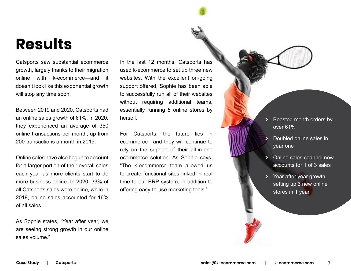## **Results**

Catsports saw substantial ecommerce growth, largely thanks to their migration online with k-ecommerce—and it doesn't look like this exponential growth will stop any time soon.

Between 2019 and 2020, Catsports had an online sales growth of 61%. In 2020, they experienced an average of 350 online transactions per month, up from 200 transactions a month in 2019.

Online sales have also begun to account for a larger portion of their overall sales each year as more clients start to do more business online. In 2020, 33% of all Catsports sales were online, while in 2019, online sales accounted for 16% of all sales.

As Sophie states, "Year after year, we are seeing strong growth in our online sales volume."

In the last 12 months, Catsports has used k-ecommerce to set up three new websites. With the excellent on-going support offered, Sophie has been able to successfully run all of their websites without requiring additional teams, essentially running 5 online stores by herself.

For Catsports, the future lies in ecommerce—and they will continue to rely on the support of their all-in-one ecommerce solution. As Sophie says, "The k-ecommerce team allowed us to create functional sites linked in real time to our ERP system, in addition to offering easy-to-use marketing tools."

- \ Boosted month orders by over 61%
- Doubled online sales in year one
- \ Online sales channel now accounts for 1 of 3 sales
- Year after year growth, setting up 3 new online stores in 1 year